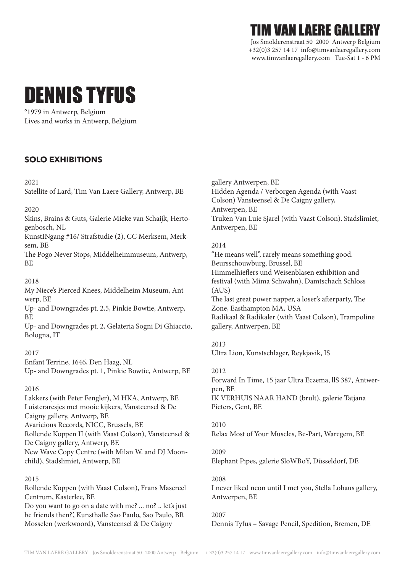# TIM VAN LAERE GALLERY

Jos Smolderenstraat 50 2000 Antwerp Belgium +32(0)3 257 14 17 info@timvanlaeregallery.com www.timvanlaeregallery.com Tue-Sat 1 - 6 PM

# DENNIS TYFUS

°1979 in Antwerp, Belgium Lives and works in Antwerp, Belgium

# **SOLO EXHIBITIONS**

#### 2021

Satellite of Lard, Tim Van Laere Gallery, Antwerp, BE

#### 2020

Skins, Brains & Guts, Galerie Mieke van Schaijk, Hertogenbosch, NL

KunstINgang #16/ Strafstudie (2), CC Merksem, Merksem, BE

The Pogo Never Stops, Middelheimmuseum, Antwerp, BE

#### 2018

My Niece's Pierced Knees, Middelheim Museum, Antwerp, BE

Up- and Downgrades pt. 2,5, Pinkie Bowtie, Antwerp, BE

Up- and Downgrades pt. 2, Gelateria Sogni Di Ghiaccio, Bologna, IT

#### 2017

Enfant Terrine, 1646, Den Haag, NL

Up- and Downgrades pt. 1, Pinkie Bowtie, Antwerp, BE

#### 2016

Lakkers (with Peter Fengler), M HKA, Antwerp, BE Luisteraresjes met mooie kijkers, Vansteensel & De Caigny gallery, Antwerp, BE Avaricious Records, NICC, Brussels, BE Rollende Koppen II (with Vaast Colson), Vansteensel & De Caigny gallery, Antwerp, BE New Wave Copy Centre (with Milan W. and DJ Moonchild), Stadslimiet, Antwerp, BE

#### 2015

Rollende Koppen (with Vaast Colson), Frans Masereel Centrum, Kasterlee, BE

Do you want to go on a date with me? ... no? .. let's just be friends then?', Kunsthalle Sao Paulo, Sao Paulo, BR Mosselen (werkwoord), Vansteensel & De Caigny

gallery Antwerpen, BE Hidden Agenda / Verborgen Agenda (with Vaast Colson) Vansteensel & De Caigny gallery, Antwerpen, BE Truken Van Luie Sjarel (with Vaast Colson). Stadslimiet, Antwerpen, BE

#### 2014

"He means well", rarely means something good. Beursschouwburg, Brussel, BE Himmelhieflers und Weisenblasen exhibition and festival (with Mima Schwahn), Damtschach Schloss (AUS) The last great power napper, a loser's afterparty, The Zone, Easthampton MA, USA Radikaal & Radikaler (with Vaast Colson), Trampoline gallery, Antwerpen, BE

#### 2013

Ultra Lion, Kunstschlager, Reykjavik, IS

#### 2012

Forward In Time, 15 jaar Ultra Eczema, llS 387, Antwerpen, BE IK VERHUIS NAAR HAND (brult), galerie Tatjana Pieters, Gent, BE

#### 2010

Relax Most of Your Muscles, Be-Part, Waregem, BE

2009 Elephant Pipes, galerie SloWBoY, Düsseldorf, DE

2008

I never liked neon until I met you, Stella Lohaus gallery, Antwerpen, BE

#### 2007

Dennis Tyfus – Savage Pencil, Spedition, Bremen, DE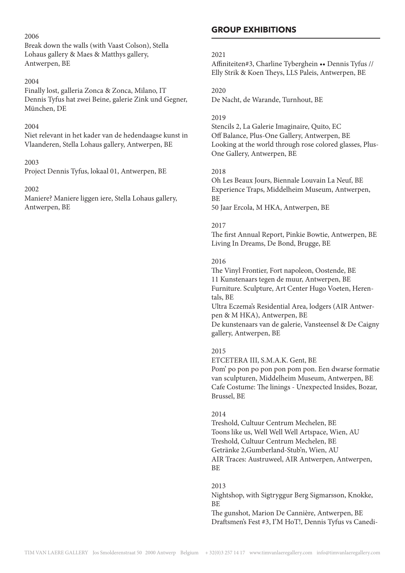#### 2006

Break down the walls (with Vaast Colson), Stella Lohaus gallery & Maes & Matthys gallery, Antwerpen, BE

#### 2004

Finally lost, galleria Zonca & Zonca, Milano, IT Dennis Tyfus hat zwei Beine, galerie Zink und Gegner, München, DE

#### 2004

Niet relevant in het kader van de hedendaagse kunst in Vlaanderen, Stella Lohaus gallery, Antwerpen, BE

#### 2003

Project Dennis Tyfus, lokaal 01, Antwerpen, BE

#### 2002

Maniere? Maniere liggen iere, Stella Lohaus gallery, Antwerpen, BE

## **GROUP EXHIBITIONS**

#### 2021

Affiniteiten#3, Charline Tyberghein •• Dennis Tyfus // Elly Strik & Koen Theys, LLS Paleis, Antwerpen, BE

2020 De Nacht, de Warande, Turnhout, BE

#### 2019

Stencils 2, La Galerie Imaginaire, Quito, EC Off Balance, Plus-One Gallery, Antwerpen, BE Looking at the world through rose colored glasses, Plus-One Gallery, Antwerpen, BE

#### 2018

Oh Les Beaux Jours, Biennale Louvain La Neuf, BE Experience Traps, Middelheim Museum, Antwerpen, BE 50 Jaar Ercola, M HKA, Antwerpen, BE

#### 2017

The first Annual Report, Pinkie Bowtie, Antwerpen, BE Living In Dreams, De Bond, Brugge, BE

#### 2016

The Vinyl Frontier, Fort napoleon, Oostende, BE 11 Kunstenaars tegen de muur, Antwerpen, BE Furniture. Sculpture, Art Center Hugo Voeten, Herentals, BE Ultra Eczema's Residential Area, lodgers (AIR Antwerpen & M HKA), Antwerpen, BE De kunstenaars van de galerie, Vansteensel & De Caigny gallery, Antwerpen, BE

#### 2015

ETCETERA III, S.M.A.K. Gent, BE

Pom' po pon po pon pon pom pon. Een dwarse formatie van sculpturen, Middelheim Museum, Antwerpen, BE Cafe Costume: The linings - Unexpected Insides, Bozar, Brussel, BE

#### 2014

Treshold, Cultuur Centrum Mechelen, BE Toons like us, Well Well Well Artspace, Wien, AU Treshold, Cultuur Centrum Mechelen, BE Getränke 2,Gumberland-Stub'n, Wien, AU AIR Traces: Austruweel, AIR Antwerpen, Antwerpen, BE

#### 2013

Nightshop, with Sigtryggur Berg Sigmarsson, Knokke, **BE** 

The gunshot, Marion De Cannière, Antwerpen, BE Draftsmen's Fest #3, I'M HoT!, Dennis Tyfus vs Canedi